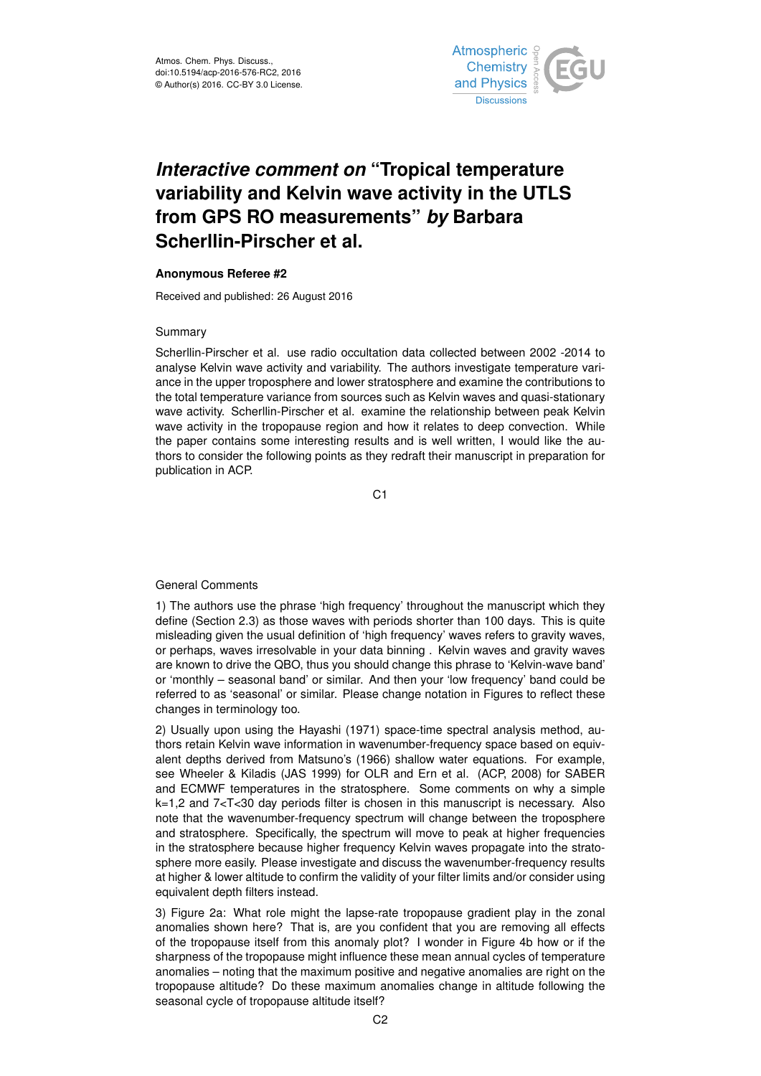

# *Interactive comment on* **"Tropical temperature variability and Kelvin wave activity in the UTLS from GPS RO measurements"** *by* **Barbara Scherllin-Pirscher et al.**

### **Anonymous Referee #2**

Received and published: 26 August 2016

#### Summary

Scherllin-Pirscher et al. use radio occultation data collected between 2002 -2014 to analyse Kelvin wave activity and variability. The authors investigate temperature variance in the upper troposphere and lower stratosphere and examine the contributions to the total temperature variance from sources such as Kelvin waves and quasi-stationary wave activity. Scherllin-Pirscher et al. examine the relationship between peak Kelvin wave activity in the tropopause region and how it relates to deep convection. While the paper contains some interesting results and is well written, I would like the authors to consider the following points as they redraft their manuscript in preparation for publication in ACP.

C<sub>1</sub>

## General Comments

1) The authors use the phrase 'high frequency' throughout the manuscript which they define (Section 2.3) as those waves with periods shorter than 100 days. This is quite misleading given the usual definition of 'high frequency' waves refers to gravity waves, or perhaps, waves irresolvable in your data binning . Kelvin waves and gravity waves are known to drive the QBO, thus you should change this phrase to 'Kelvin-wave band' or 'monthly – seasonal band' or similar. And then your 'low frequency' band could be referred to as 'seasonal' or similar. Please change notation in Figures to reflect these changes in terminology too.

2) Usually upon using the Hayashi (1971) space-time spectral analysis method, authors retain Kelvin wave information in wavenumber-frequency space based on equivalent depths derived from Matsuno's (1966) shallow water equations. For example, see Wheeler & Kiladis (JAS 1999) for OLR and Ern et al. (ACP, 2008) for SABER and ECMWF temperatures in the stratosphere. Some comments on why a simple k=1,2 and 7<T<30 day periods filter is chosen in this manuscript is necessary. Also note that the wavenumber-frequency spectrum will change between the troposphere and stratosphere. Specifically, the spectrum will move to peak at higher frequencies in the stratosphere because higher frequency Kelvin waves propagate into the stratosphere more easily. Please investigate and discuss the wavenumber-frequency results at higher & lower altitude to confirm the validity of your filter limits and/or consider using equivalent depth filters instead.

3) Figure 2a: What role might the lapse-rate tropopause gradient play in the zonal anomalies shown here? That is, are you confident that you are removing all effects of the tropopause itself from this anomaly plot? I wonder in Figure 4b how or if the sharpness of the tropopause might influence these mean annual cycles of temperature anomalies – noting that the maximum positive and negative anomalies are right on the tropopause altitude? Do these maximum anomalies change in altitude following the seasonal cycle of tropopause altitude itself?